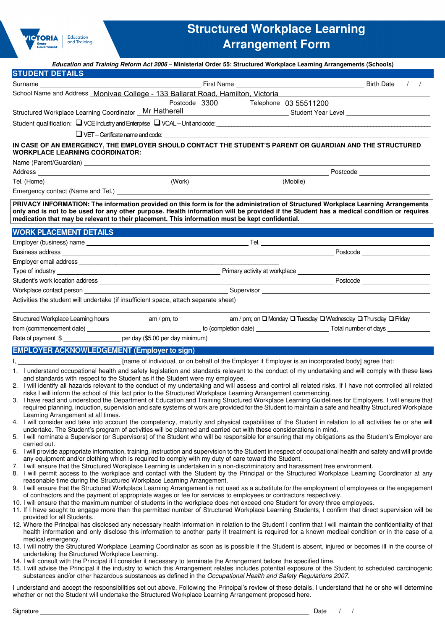

# **Structured Workplace Learning Arrangement Form**

|                                                                                                                                                                                                                                                                                                                                                                                                                                                                                                                                                                                                                                                                                                                                                                                                                                                                                                                                                                                                                                                                                                                                                                                                                                                                                                                                                                                                                                                                                                                                                                                                                                                                                                                                                                                                                                                                                                                                                                                                                                                                                                                                                                                                                                                                                                                                                                                                                                                                                                                                                                                                                                                                                                                                                                                                                                                                                                                                                                                                                                                                                                                                                                                                                                                                                                                                                                                                                                                                                                                                        | Education and Training Reform Act 2006 - Ministerial Order 55: Structured Workplace Learning Arrangements (Schools) |                                     |                                                                                                                                                                                                                                     |                                  |               |
|----------------------------------------------------------------------------------------------------------------------------------------------------------------------------------------------------------------------------------------------------------------------------------------------------------------------------------------------------------------------------------------------------------------------------------------------------------------------------------------------------------------------------------------------------------------------------------------------------------------------------------------------------------------------------------------------------------------------------------------------------------------------------------------------------------------------------------------------------------------------------------------------------------------------------------------------------------------------------------------------------------------------------------------------------------------------------------------------------------------------------------------------------------------------------------------------------------------------------------------------------------------------------------------------------------------------------------------------------------------------------------------------------------------------------------------------------------------------------------------------------------------------------------------------------------------------------------------------------------------------------------------------------------------------------------------------------------------------------------------------------------------------------------------------------------------------------------------------------------------------------------------------------------------------------------------------------------------------------------------------------------------------------------------------------------------------------------------------------------------------------------------------------------------------------------------------------------------------------------------------------------------------------------------------------------------------------------------------------------------------------------------------------------------------------------------------------------------------------------------------------------------------------------------------------------------------------------------------------------------------------------------------------------------------------------------------------------------------------------------------------------------------------------------------------------------------------------------------------------------------------------------------------------------------------------------------------------------------------------------------------------------------------------------------------------------------------------------------------------------------------------------------------------------------------------------------------------------------------------------------------------------------------------------------------------------------------------------------------------------------------------------------------------------------------------------------------------------------------------------------------------------------------------------|---------------------------------------------------------------------------------------------------------------------|-------------------------------------|-------------------------------------------------------------------------------------------------------------------------------------------------------------------------------------------------------------------------------------|----------------------------------|---------------|
| <b>STUDENT DETAILS</b>                                                                                                                                                                                                                                                                                                                                                                                                                                                                                                                                                                                                                                                                                                                                                                                                                                                                                                                                                                                                                                                                                                                                                                                                                                                                                                                                                                                                                                                                                                                                                                                                                                                                                                                                                                                                                                                                                                                                                                                                                                                                                                                                                                                                                                                                                                                                                                                                                                                                                                                                                                                                                                                                                                                                                                                                                                                                                                                                                                                                                                                                                                                                                                                                                                                                                                                                                                                                                                                                                                                 |                                                                                                                     |                                     |                                                                                                                                                                                                                                     |                                  |               |
|                                                                                                                                                                                                                                                                                                                                                                                                                                                                                                                                                                                                                                                                                                                                                                                                                                                                                                                                                                                                                                                                                                                                                                                                                                                                                                                                                                                                                                                                                                                                                                                                                                                                                                                                                                                                                                                                                                                                                                                                                                                                                                                                                                                                                                                                                                                                                                                                                                                                                                                                                                                                                                                                                                                                                                                                                                                                                                                                                                                                                                                                                                                                                                                                                                                                                                                                                                                                                                                                                                                                        |                                                                                                                     |                                     |                                                                                                                                                                                                                                     |                                  | $\frac{1}{2}$ |
| School Name and Address Monivae College - 133 Ballarat Road, Hamilton, Victoria                                                                                                                                                                                                                                                                                                                                                                                                                                                                                                                                                                                                                                                                                                                                                                                                                                                                                                                                                                                                                                                                                                                                                                                                                                                                                                                                                                                                                                                                                                                                                                                                                                                                                                                                                                                                                                                                                                                                                                                                                                                                                                                                                                                                                                                                                                                                                                                                                                                                                                                                                                                                                                                                                                                                                                                                                                                                                                                                                                                                                                                                                                                                                                                                                                                                                                                                                                                                                                                        |                                                                                                                     |                                     |                                                                                                                                                                                                                                     |                                  |               |
|                                                                                                                                                                                                                                                                                                                                                                                                                                                                                                                                                                                                                                                                                                                                                                                                                                                                                                                                                                                                                                                                                                                                                                                                                                                                                                                                                                                                                                                                                                                                                                                                                                                                                                                                                                                                                                                                                                                                                                                                                                                                                                                                                                                                                                                                                                                                                                                                                                                                                                                                                                                                                                                                                                                                                                                                                                                                                                                                                                                                                                                                                                                                                                                                                                                                                                                                                                                                                                                                                                                                        |                                                                                                                     | Postcode 3300 Telephone 03 55511200 |                                                                                                                                                                                                                                     |                                  |               |
| Structured Workplace Learning Coordinator _ Mr Hatherell                                                                                                                                                                                                                                                                                                                                                                                                                                                                                                                                                                                                                                                                                                                                                                                                                                                                                                                                                                                                                                                                                                                                                                                                                                                                                                                                                                                                                                                                                                                                                                                                                                                                                                                                                                                                                                                                                                                                                                                                                                                                                                                                                                                                                                                                                                                                                                                                                                                                                                                                                                                                                                                                                                                                                                                                                                                                                                                                                                                                                                                                                                                                                                                                                                                                                                                                                                                                                                                                               |                                                                                                                     |                                     | Student Year Level <b>Constant Office Student Student State Constant Office Student Student Student Constant Office</b>                                                                                                             |                                  |               |
|                                                                                                                                                                                                                                                                                                                                                                                                                                                                                                                                                                                                                                                                                                                                                                                                                                                                                                                                                                                                                                                                                                                                                                                                                                                                                                                                                                                                                                                                                                                                                                                                                                                                                                                                                                                                                                                                                                                                                                                                                                                                                                                                                                                                                                                                                                                                                                                                                                                                                                                                                                                                                                                                                                                                                                                                                                                                                                                                                                                                                                                                                                                                                                                                                                                                                                                                                                                                                                                                                                                                        |                                                                                                                     |                                     |                                                                                                                                                                                                                                     |                                  |               |
|                                                                                                                                                                                                                                                                                                                                                                                                                                                                                                                                                                                                                                                                                                                                                                                                                                                                                                                                                                                                                                                                                                                                                                                                                                                                                                                                                                                                                                                                                                                                                                                                                                                                                                                                                                                                                                                                                                                                                                                                                                                                                                                                                                                                                                                                                                                                                                                                                                                                                                                                                                                                                                                                                                                                                                                                                                                                                                                                                                                                                                                                                                                                                                                                                                                                                                                                                                                                                                                                                                                                        | $\Box$ VET - Certificate name and code: $\Box$                                                                      |                                     |                                                                                                                                                                                                                                     |                                  |               |
| IN CASE OF AN EMERGENCY, THE EMPLOYER SHOULD CONTACT THE STUDENT'S PARENT OR GUARDIAN AND THE STRUCTURED<br><b>WORKPLACE LEARNING COORDINATOR:</b>                                                                                                                                                                                                                                                                                                                                                                                                                                                                                                                                                                                                                                                                                                                                                                                                                                                                                                                                                                                                                                                                                                                                                                                                                                                                                                                                                                                                                                                                                                                                                                                                                                                                                                                                                                                                                                                                                                                                                                                                                                                                                                                                                                                                                                                                                                                                                                                                                                                                                                                                                                                                                                                                                                                                                                                                                                                                                                                                                                                                                                                                                                                                                                                                                                                                                                                                                                                     |                                                                                                                     |                                     |                                                                                                                                                                                                                                     |                                  |               |
| Name (Parent/Guardian) Manual Communication of the Communication of the Communication of the Communication of the Communication of the Communication of the Communication of the Communication of the Communication of the Com                                                                                                                                                                                                                                                                                                                                                                                                                                                                                                                                                                                                                                                                                                                                                                                                                                                                                                                                                                                                                                                                                                                                                                                                                                                                                                                                                                                                                                                                                                                                                                                                                                                                                                                                                                                                                                                                                                                                                                                                                                                                                                                                                                                                                                                                                                                                                                                                                                                                                                                                                                                                                                                                                                                                                                                                                                                                                                                                                                                                                                                                                                                                                                                                                                                                                                         |                                                                                                                     |                                     |                                                                                                                                                                                                                                     |                                  |               |
|                                                                                                                                                                                                                                                                                                                                                                                                                                                                                                                                                                                                                                                                                                                                                                                                                                                                                                                                                                                                                                                                                                                                                                                                                                                                                                                                                                                                                                                                                                                                                                                                                                                                                                                                                                                                                                                                                                                                                                                                                                                                                                                                                                                                                                                                                                                                                                                                                                                                                                                                                                                                                                                                                                                                                                                                                                                                                                                                                                                                                                                                                                                                                                                                                                                                                                                                                                                                                                                                                                                                        |                                                                                                                     |                                     |                                                                                                                                                                                                                                     |                                  |               |
|                                                                                                                                                                                                                                                                                                                                                                                                                                                                                                                                                                                                                                                                                                                                                                                                                                                                                                                                                                                                                                                                                                                                                                                                                                                                                                                                                                                                                                                                                                                                                                                                                                                                                                                                                                                                                                                                                                                                                                                                                                                                                                                                                                                                                                                                                                                                                                                                                                                                                                                                                                                                                                                                                                                                                                                                                                                                                                                                                                                                                                                                                                                                                                                                                                                                                                                                                                                                                                                                                                                                        |                                                                                                                     |                                     |                                                                                                                                                                                                                                     |                                  |               |
|                                                                                                                                                                                                                                                                                                                                                                                                                                                                                                                                                                                                                                                                                                                                                                                                                                                                                                                                                                                                                                                                                                                                                                                                                                                                                                                                                                                                                                                                                                                                                                                                                                                                                                                                                                                                                                                                                                                                                                                                                                                                                                                                                                                                                                                                                                                                                                                                                                                                                                                                                                                                                                                                                                                                                                                                                                                                                                                                                                                                                                                                                                                                                                                                                                                                                                                                                                                                                                                                                                                                        |                                                                                                                     |                                     |                                                                                                                                                                                                                                     |                                  |               |
| PRIVACY INFORMATION: The information provided on this form is for the administration of Structured Workplace Learning Arrangements<br>only and is not to be used for any other purpose. Health information will be provided if the Student has a medical condition or requires<br>medication that may be relevant to their placement. This information must be kept confidential.                                                                                                                                                                                                                                                                                                                                                                                                                                                                                                                                                                                                                                                                                                                                                                                                                                                                                                                                                                                                                                                                                                                                                                                                                                                                                                                                                                                                                                                                                                                                                                                                                                                                                                                                                                                                                                                                                                                                                                                                                                                                                                                                                                                                                                                                                                                                                                                                                                                                                                                                                                                                                                                                                                                                                                                                                                                                                                                                                                                                                                                                                                                                                      |                                                                                                                     |                                     |                                                                                                                                                                                                                                     |                                  |               |
| <b>WORK PLACEMENT DETAILS</b>                                                                                                                                                                                                                                                                                                                                                                                                                                                                                                                                                                                                                                                                                                                                                                                                                                                                                                                                                                                                                                                                                                                                                                                                                                                                                                                                                                                                                                                                                                                                                                                                                                                                                                                                                                                                                                                                                                                                                                                                                                                                                                                                                                                                                                                                                                                                                                                                                                                                                                                                                                                                                                                                                                                                                                                                                                                                                                                                                                                                                                                                                                                                                                                                                                                                                                                                                                                                                                                                                                          |                                                                                                                     |                                     |                                                                                                                                                                                                                                     |                                  |               |
| Employer (business) name                                                                                                                                                                                                                                                                                                                                                                                                                                                                                                                                                                                                                                                                                                                                                                                                                                                                                                                                                                                                                                                                                                                                                                                                                                                                                                                                                                                                                                                                                                                                                                                                                                                                                                                                                                                                                                                                                                                                                                                                                                                                                                                                                                                                                                                                                                                                                                                                                                                                                                                                                                                                                                                                                                                                                                                                                                                                                                                                                                                                                                                                                                                                                                                                                                                                                                                                                                                                                                                                                                               |                                                                                                                     |                                     | <b>Tel.</b> The contract of the contract of the contract of the contract of the contract of the contract of the contract of the contract of the contract of the contract of the contract of the contract of the contract of the con |                                  |               |
|                                                                                                                                                                                                                                                                                                                                                                                                                                                                                                                                                                                                                                                                                                                                                                                                                                                                                                                                                                                                                                                                                                                                                                                                                                                                                                                                                                                                                                                                                                                                                                                                                                                                                                                                                                                                                                                                                                                                                                                                                                                                                                                                                                                                                                                                                                                                                                                                                                                                                                                                                                                                                                                                                                                                                                                                                                                                                                                                                                                                                                                                                                                                                                                                                                                                                                                                                                                                                                                                                                                                        |                                                                                                                     |                                     |                                                                                                                                                                                                                                     | Postcode _______________________ |               |
|                                                                                                                                                                                                                                                                                                                                                                                                                                                                                                                                                                                                                                                                                                                                                                                                                                                                                                                                                                                                                                                                                                                                                                                                                                                                                                                                                                                                                                                                                                                                                                                                                                                                                                                                                                                                                                                                                                                                                                                                                                                                                                                                                                                                                                                                                                                                                                                                                                                                                                                                                                                                                                                                                                                                                                                                                                                                                                                                                                                                                                                                                                                                                                                                                                                                                                                                                                                                                                                                                                                                        |                                                                                                                     |                                     |                                                                                                                                                                                                                                     |                                  |               |
| Type of industry                                                                                                                                                                                                                                                                                                                                                                                                                                                                                                                                                                                                                                                                                                                                                                                                                                                                                                                                                                                                                                                                                                                                                                                                                                                                                                                                                                                                                                                                                                                                                                                                                                                                                                                                                                                                                                                                                                                                                                                                                                                                                                                                                                                                                                                                                                                                                                                                                                                                                                                                                                                                                                                                                                                                                                                                                                                                                                                                                                                                                                                                                                                                                                                                                                                                                                                                                                                                                                                                                                                       | <b>Example 2016</b> Primary activity at workplace example 2016 and 2017 Primary activity at workplace               |                                     |                                                                                                                                                                                                                                     |                                  |               |
|                                                                                                                                                                                                                                                                                                                                                                                                                                                                                                                                                                                                                                                                                                                                                                                                                                                                                                                                                                                                                                                                                                                                                                                                                                                                                                                                                                                                                                                                                                                                                                                                                                                                                                                                                                                                                                                                                                                                                                                                                                                                                                                                                                                                                                                                                                                                                                                                                                                                                                                                                                                                                                                                                                                                                                                                                                                                                                                                                                                                                                                                                                                                                                                                                                                                                                                                                                                                                                                                                                                                        |                                                                                                                     |                                     |                                                                                                                                                                                                                                     |                                  |               |
|                                                                                                                                                                                                                                                                                                                                                                                                                                                                                                                                                                                                                                                                                                                                                                                                                                                                                                                                                                                                                                                                                                                                                                                                                                                                                                                                                                                                                                                                                                                                                                                                                                                                                                                                                                                                                                                                                                                                                                                                                                                                                                                                                                                                                                                                                                                                                                                                                                                                                                                                                                                                                                                                                                                                                                                                                                                                                                                                                                                                                                                                                                                                                                                                                                                                                                                                                                                                                                                                                                                                        |                                                                                                                     |                                     |                                                                                                                                                                                                                                     |                                  |               |
|                                                                                                                                                                                                                                                                                                                                                                                                                                                                                                                                                                                                                                                                                                                                                                                                                                                                                                                                                                                                                                                                                                                                                                                                                                                                                                                                                                                                                                                                                                                                                                                                                                                                                                                                                                                                                                                                                                                                                                                                                                                                                                                                                                                                                                                                                                                                                                                                                                                                                                                                                                                                                                                                                                                                                                                                                                                                                                                                                                                                                                                                                                                                                                                                                                                                                                                                                                                                                                                                                                                                        |                                                                                                                     |                                     |                                                                                                                                                                                                                                     |                                  |               |
|                                                                                                                                                                                                                                                                                                                                                                                                                                                                                                                                                                                                                                                                                                                                                                                                                                                                                                                                                                                                                                                                                                                                                                                                                                                                                                                                                                                                                                                                                                                                                                                                                                                                                                                                                                                                                                                                                                                                                                                                                                                                                                                                                                                                                                                                                                                                                                                                                                                                                                                                                                                                                                                                                                                                                                                                                                                                                                                                                                                                                                                                                                                                                                                                                                                                                                                                                                                                                                                                                                                                        |                                                                                                                     |                                     |                                                                                                                                                                                                                                     |                                  |               |
|                                                                                                                                                                                                                                                                                                                                                                                                                                                                                                                                                                                                                                                                                                                                                                                                                                                                                                                                                                                                                                                                                                                                                                                                                                                                                                                                                                                                                                                                                                                                                                                                                                                                                                                                                                                                                                                                                                                                                                                                                                                                                                                                                                                                                                                                                                                                                                                                                                                                                                                                                                                                                                                                                                                                                                                                                                                                                                                                                                                                                                                                                                                                                                                                                                                                                                                                                                                                                                                                                                                                        |                                                                                                                     |                                     |                                                                                                                                                                                                                                     |                                  |               |
| Rate of payment \$ ______________________ per day (\$5.00 per day minimum)                                                                                                                                                                                                                                                                                                                                                                                                                                                                                                                                                                                                                                                                                                                                                                                                                                                                                                                                                                                                                                                                                                                                                                                                                                                                                                                                                                                                                                                                                                                                                                                                                                                                                                                                                                                                                                                                                                                                                                                                                                                                                                                                                                                                                                                                                                                                                                                                                                                                                                                                                                                                                                                                                                                                                                                                                                                                                                                                                                                                                                                                                                                                                                                                                                                                                                                                                                                                                                                             |                                                                                                                     |                                     |                                                                                                                                                                                                                                     |                                  |               |
|                                                                                                                                                                                                                                                                                                                                                                                                                                                                                                                                                                                                                                                                                                                                                                                                                                                                                                                                                                                                                                                                                                                                                                                                                                                                                                                                                                                                                                                                                                                                                                                                                                                                                                                                                                                                                                                                                                                                                                                                                                                                                                                                                                                                                                                                                                                                                                                                                                                                                                                                                                                                                                                                                                                                                                                                                                                                                                                                                                                                                                                                                                                                                                                                                                                                                                                                                                                                                                                                                                                                        |                                                                                                                     |                                     |                                                                                                                                                                                                                                     |                                  |               |
| <b>EMPLOYER ACKNOWLEDGEMENT (Employer to sign)</b>                                                                                                                                                                                                                                                                                                                                                                                                                                                                                                                                                                                                                                                                                                                                                                                                                                                                                                                                                                                                                                                                                                                                                                                                                                                                                                                                                                                                                                                                                                                                                                                                                                                                                                                                                                                                                                                                                                                                                                                                                                                                                                                                                                                                                                                                                                                                                                                                                                                                                                                                                                                                                                                                                                                                                                                                                                                                                                                                                                                                                                                                                                                                                                                                                                                                                                                                                                                                                                                                                     | ___ [name of individual, or on behalf of the Employer if Employer is an incorporated body] agree that:              |                                     |                                                                                                                                                                                                                                     |                                  |               |
| 1. I understand occupational health and safety legislation and standards relevant to the conduct of my undertaking and will comply with these laws<br>and standards with respect to the Student as if the Student were my employee.<br>2. I will identify all hazards relevant to the conduct of my undertaking and will assess and control all related risks. If I have not controlled all related<br>risks I will inform the school of this fact prior to the Structured Workplace Learning Arrangement commencing.<br>3. I have read and understood the Department of Education and Training Structured Workplace Learning Guidelines for Employers. I will ensure that<br>required planning, induction, supervision and safe systems of work are provided for the Student to maintain a safe and healthy Structured Workplace<br>Learning Arrangement at all times.<br>4. I will consider and take into account the competency, maturity and physical capabilities of the Student in relation to all activities he or she will<br>undertake. The Student's program of activities will be planned and carried out with these considerations in mind.<br>5. I will nominate a Supervisor (or Supervisors) of the Student who will be responsible for ensuring that my obligations as the Student's Employer are<br>carried out.<br>6. I will provide appropriate information, training, instruction and supervision to the Student in respect of occupational health and safety and will provide<br>any equipment and/or clothing which is required to comply with my duty of care toward the Student.<br>7. I will ensure that the Structured Workplace Learning is undertaken in a non-discriminatory and harassment free environment.<br>8. I will permit access to the workplace and contact with the Student by the Principal or the Structured Workplace Learning Coordinator at any<br>reasonable time during the Structured Workplace Learning Arrangement.<br>9. I will ensure that the Structured Workplace Learning Arrangement is not used as a substitute for the employment of employees or the engagement<br>of contractors and the payment of appropriate wages or fee for services to employees or contractors respectively.<br>10. I will ensure that the maximum number of students in the workplace does not exceed one Student for every three employees.<br>11. If I have sought to engage more than the permitted number of Structured Workplace Learning Students, I confirm that direct supervision will be<br>provided for all Students.<br>12. Where the Principal has disclosed any necessary health information in relation to the Student I confirm that I will maintain the confidentiality of that<br>health information and only disclose this information to another party if treatment is required for a known medical condition or in the case of a<br>medical emergency.<br>13. I will notify the Structured Workplace Learning Coordinator as soon as is possible if the Student is absent, injured or becomes ill in the course of<br>undertaking the Structured Workplace Learning.<br>14. I will consult with the Principal if I consider it necessary to terminate the Arrangement before the specified time.<br>15. I will advise the Principal if the industry to which this Arrangement relates includes potential exposure of the Student to scheduled carcinogenic<br>substances and/or other hazardous substances as defined in the Occupational Health and Safety Regulations 2007. |                                                                                                                     |                                     |                                                                                                                                                                                                                                     |                                  |               |
| I understand and accept the responsibilities set out above. Following the Principal's review of these details, I understand that he or she will determine<br>whether or not the Student will undertake the Structured Workplace Learning Arrangement proposed here.                                                                                                                                                                                                                                                                                                                                                                                                                                                                                                                                                                                                                                                                                                                                                                                                                                                                                                                                                                                                                                                                                                                                                                                                                                                                                                                                                                                                                                                                                                                                                                                                                                                                                                                                                                                                                                                                                                                                                                                                                                                                                                                                                                                                                                                                                                                                                                                                                                                                                                                                                                                                                                                                                                                                                                                                                                                                                                                                                                                                                                                                                                                                                                                                                                                                    |                                                                                                                     |                                     |                                                                                                                                                                                                                                     |                                  |               |